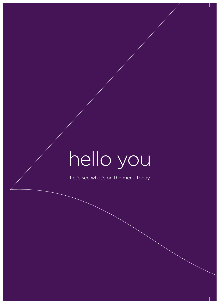# hello you

Let's see what's on the menu today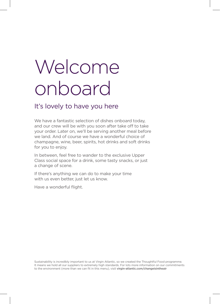## Welcome onboard

### It's lovely to have you here

We have a fantastic selection of dishes onboard today, and our crew will be with you soon after take off to take your order. Later on, we'll be serving another meal before we land. And of course we have a wonderful choice of champagne, wine, beer, spirits, hot drinks and soft drinks for you to enjoy.

In between, feel free to wander to the exclusive Upper Class social space for a drink, some tasty snacks, or just a change of scene.

If there's anything we can do to make your time with us even better, just let us know.

Have a wonderful flight.

Sustainability is incredibly important to us at Virgin Atlantic, so we created the Thoughtful Food programme. It means we hold all our suppliers to extremely high standards. For lots more information on our commitments to the environment (more than we can fit in this menu), visit virgin-atlantic.com/changeisintheair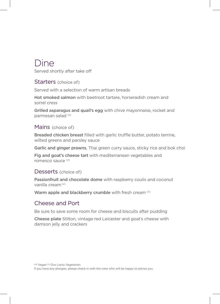### Dine

Served shortly after take off

#### Starters (choice of)

Served with a selection of warm artisan breads

Hot smoked salmon with beetroot tartare, horseradish cream and sorrel cress

Grilled asparagus and quail's egg with chive mayonnaise, rocket and parmesan salad (v)

#### Mains (choice of)

Breaded chicken breast filled with garlic truffle butter, potato terrine, wilted greens and parsley sauce

Garlic and ginger prawns, Thai green curry sauce, sticky rice and bok choi

Fig and goat's cheese tart with mediterranean vegetables and romesco sauce (v)

#### Desserts (choice of)

Passionfruit and chocolate dome with raspberry coulis and coconut vanilla cream (v)

Warm apple and blackberry crumble with fresh cream  $\omega$ 

#### Cheese and Port

Be sure to save some room for cheese and biscuits after pudding

Cheese plate Stilton, vintage red Leicester and goat's cheese with damson jelly and crackers

If you have any allergies, please check in with the crew who will be happy to advise you.

<sup>&</sup>lt;sup>(ve)</sup> Vegan <sup>(v)</sup> Ovo Lacto Vegetarian.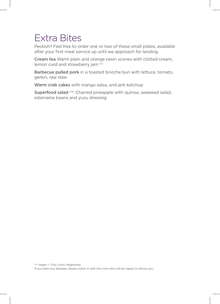## Extra Bites

Peckish? Feel free to order one or two of these small plates, available after your first meal service up until we approach for landing.

Cream tea Warm plain and orange raisin scones with clotted cream, lemon curd and strawberry jam (v)

Barbecue pulled pork in a toasted brioche bun with lettuce, tomato, gerkin, raw slaw

Warm crab cakes with mango salsa, and jerk ketchup

Superfood salad (ve) Charred pineapple with quinoa, seaweed salad, edamame beans and yuzu dressing

(ve) Vegan (v) Ovo Lacto Vegetarian.

If you have any allergies, please check in with the crew who will be happy to advise you.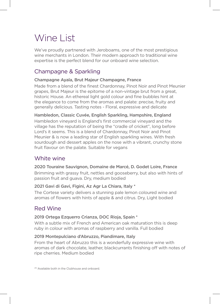## Wine List

We've proudly partnered with Jeroboams, one of the most prestigious wine merchants in London. Their modern approach to traditional wine expertise is the perfect blend for our onboard wine selection.

#### Champagne & Sparkling

#### Champagne Ayala, Brut Majeur Champagne, France

Made from a blend of the finest Chardonnay, Pinot Noir and Pinot Meunier grapes, Brut Majeur is the epitome of a non-vintage brut from a great, historic House. An ethereal light gold colour and fine bubbles hint at the elegance to come from the aromas and palate: precise, fruity and generally delicious. Tasting notes - Floral, expressive and delicate

Hambledon, Classic Cuvée, English Sparkling, Hampshire, England Hambledon vineyard is England's first commercial vineyard and the village has the reputation of being the "cradle of cricket", long before Lord's it seems. This is a blend of Chardonnay, Pinot Noir and Pinot Meunier & is now a leading star of English sparkling wines. With fresh sourdough and dessert apples on the nose with a vibrant, crunchy stone fruit flavour on the palate. Suitable for vegans

#### White wine

#### 2020 Touraine Sauvignon, Domaine de Marcé, D. Godet Loire, France

Brimming with grassy fruit, nettles and gooseberry, but also with hints of passion fruit and guava. Dry, medium bodied

#### 2021 Gavi di Gavi, Figini, Az Agr La Chiara, Italy \*

The Cortese variety delivers a stunning pale lemon coloured wine and aromas of flowers with hints of apple & and citrus. Dry, Light bodied

#### Red Wine

#### 2019 Ortega Ezquerro Crianza, DOC Rioja, Spain \*

With a subtle mix of French and American oak maturation this is deep ruby in colour with aromas of raspberry and vanilla. Full bodied

#### 2019 Montepulciano d'Abruzzo, Piandimare, Italy

From the heart of Abruzzo this is a wonderfully expressive wine with aromas of dark chocolate, leather, blackcurrants finishing off with notes of ripe cherries. Medium bodied

(\*) Available both in the Clubhouse and onboard.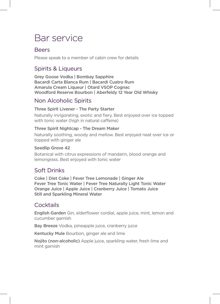## Bar service

#### Beers

Please speak to a member of cabin crew for details

#### Spirits & Liqueurs

Grey Goose Vodka | Bombay Sapphire Bacardi Carta Blanca Rum | Bacardi Cuatro Rum Amarula Cream Liqueur | Otard VSOP Cognac Woodford Reserve Bourbon | Aberfeldy 12 Year Old Whisky

#### Non Alcoholic Spirits

#### Three Spirit Livener - The Party Starter

Naturally invigorating, exotic and fiery. Best enjoyed over ice topped with tonic water (high in natural caffeine)

#### Three Spirit Nightcap - The Dream Maker

Naturally soothing, woody and mellow. Best enjoyed neat over ice or topped with ginger ale

#### Seedlip Grove 42

Botanical with citrus expressions of mandarin, blood orange and lemongrass. Best enjoyed with tonic water

#### Soft Drinks

Coke | Diet Coke | Fever Tree Lemonade | Ginger Ale Fever Tree Tonic Water | Fever Tree Naturally Light Tonic Water Orange Juice | Apple Juice | Cranberry Juice | Tomato Juice Still and Sparkling Mineral Water

#### **Cocktails**

English Garden Gin, elderflower cordial, apple juice, mint, lemon and cucumber garnish

Bay Breeze Vodka, pineapple juice, cranberry juice

Kentucky Mule Bourbon, ginger ale and lime

Nojito (non-alcoholic) Apple juice, sparkling water, fresh lime and mint garnish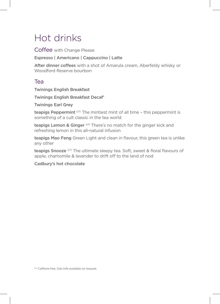## Hot drinks

Coffee with Change Please

Espresso | Americano | Cappuccino | Latte

After dinner coffees with a shot of Amarula cream, Aberfeldy whisky or Woodford Reserve bourbon

#### Tea

Twinings English Breakfast

Twinings English Breakfast Decaf'

Twinings Earl Grey

teapigs Peppermint<sup>(cf)</sup> The mintiest mint of all time - this peppermint is something of a cult classic in the tea world

teapigs Lemon & Ginger (cf) There's no match for the ginger kick and refreshing lemon in this all-natural infusion

teapigs Mao Feng Green Light and clean in flavour, this green tea is unlike any other

teapigs Snooze<sup>(cf)</sup> The ultimate sleepy tea. Soft, sweet & floral flavours of apple, chamomile & lavender to drift off to the land of nod

Cadbury's hot chocolate

(cf) Caffeine free. Oat milk available on request.